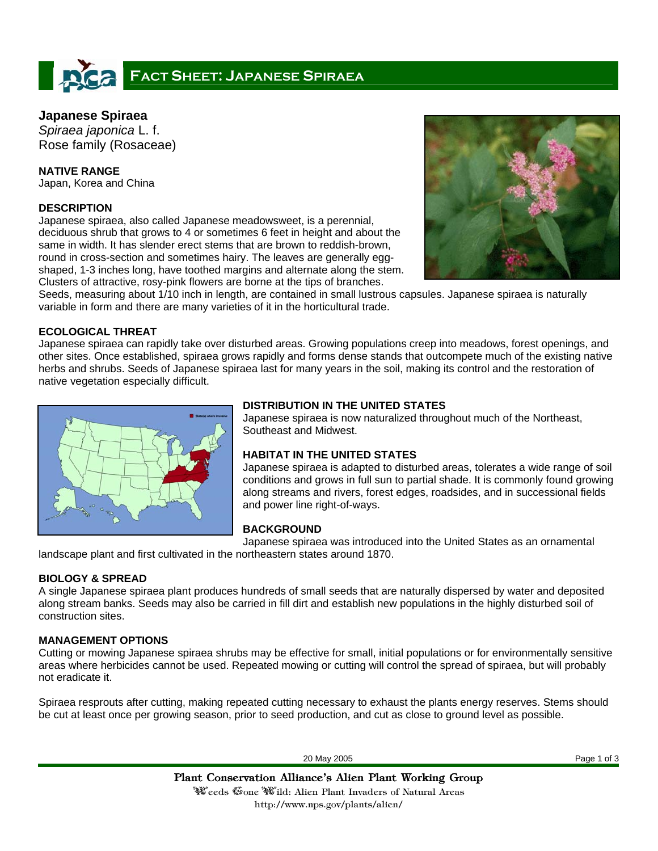# **FACT SHEET: JAPANESE SPIRAEA**

# **Japanese Spiraea**

*Spiraea japonica* L. f. Rose family (Rosaceae)

**NATIVE RANGE**  Japan, Korea and China

## **DESCRIPTION**

Japanese spiraea, also called Japanese meadowsweet, is a perennial, deciduous shrub that grows to 4 or sometimes 6 feet in height and about the same in width. It has slender erect stems that are brown to reddish-brown, round in cross-section and sometimes hairy. The leaves are generally eggshaped, 1-3 inches long, have toothed margins and alternate along the stem. Clusters of attractive, rosy-pink flowers are borne at the tips of branches.



Seeds, measuring about 1/10 inch in length, are contained in small lustrous capsules. Japanese spiraea is naturally variable in form and there are many varieties of it in the horticultural trade.

#### **ECOLOGICAL THREAT**

Japanese spiraea can rapidly take over disturbed areas. Growing populations creep into meadows, forest openings, and other sites. Once established, spiraea grows rapidly and forms dense stands that outcompete much of the existing native herbs and shrubs. Seeds of Japanese spiraea last for many years in the soil, making its control and the restoration of native vegetation especially difficult.



## **DISTRIBUTION IN THE UNITED STATES**

Japanese spiraea is now naturalized throughout much of the Northeast, Southeast and Midwest.

## **HABITAT IN THE UNITED STATES**

Japanese spiraea is adapted to disturbed areas, tolerates a wide range of soil conditions and grows in full sun to partial shade. It is commonly found growing along streams and rivers, forest edges, roadsides, and in successional fields and power line right-of-ways.

## **BACKGROUND**

Japanese spiraea was introduced into the United States as an ornamental

landscape plant and first cultivated in the northeastern states around 1870.

## **BIOLOGY & SPREAD**

A single Japanese spiraea plant produces hundreds of small seeds that are naturally dispersed by water and deposited along stream banks. Seeds may also be carried in fill dirt and establish new populations in the highly disturbed soil of construction sites.

## **MANAGEMENT OPTIONS**

Cutting or mowing Japanese spiraea shrubs may be effective for small, initial populations or for environmentally sensitive areas where herbicides cannot be used. Repeated mowing or cutting will control the spread of spiraea, but will probably not eradicate it.

Spiraea resprouts after cutting, making repeated cutting necessary to exhaust the plants energy reserves. Stems should be cut at least once per growing season, prior to seed production, and cut as close to ground level as possible.

20 May 2005 Page 1 of 3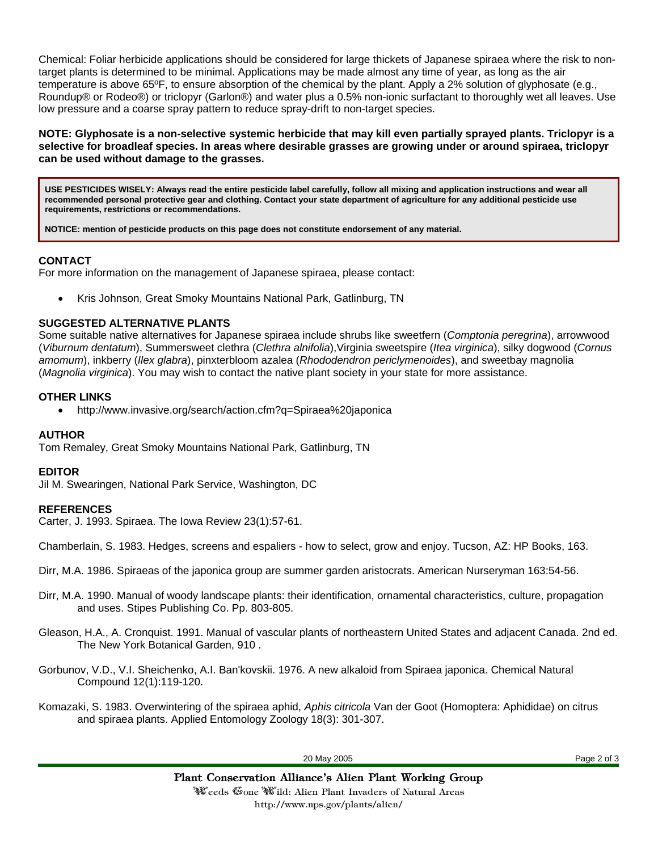Chemical: Foliar herbicide applications should be considered for large thickets of Japanese spiraea where the risk to nontarget plants is determined to be minimal. Applications may be made almost any time of year, as long as the air temperature is above 65ºF, to ensure absorption of the chemical by the plant. Apply a 2% solution of glyphosate (e.g., Roundup® or Rodeo®) or triclopyr (Garlon®) and water plus a 0.5% non-ionic surfactant to thoroughly wet all leaves. Use low pressure and a coarse spray pattern to reduce spray-drift to non-target species.

**NOTE: Glyphosate is a non-selective systemic herbicide that may kill even partially sprayed plants. Triclopyr is a selective for broadleaf species. In areas where desirable grasses are growing under or around spiraea, triclopyr can be used without damage to the grasses.** 

**USE PESTICIDES WISELY: Always read the entire pesticide label carefully, follow all mixing and application instructions and wear all recommended personal protective gear and clothing. Contact your state department of agriculture for any additional pesticide use requirements, restrictions or recommendations.** 

**NOTICE: mention of pesticide products on this page does not constitute endorsement of any material.**

## **CONTACT**

For more information on the management of Japanese spiraea, please contact:

• Kris Johnson, Great Smoky Mountains National Park, Gatlinburg, TN

#### **SUGGESTED ALTERNATIVE PLANTS**

Some suitable native alternatives for Japanese spiraea include shrubs like sweetfern (*Comptonia peregrina*), arrowwood (*Viburnum dentatum*), Summersweet clethra (*Clethra alnifolia*),Virginia sweetspire (*Itea virginica*), silky dogwood (*Cornus amomum*), inkberry (*Ilex glabra*), pinxterbloom azalea (*Rhododendron periclymenoides*), and sweetbay magnolia (*Magnolia virginica*). You may wish to contact the native plant society in your state for more assistance.

#### **OTHER LINKS**

• http://www.invasive.org/search/action.cfm?q=Spiraea%20japonica

#### **AUTHOR**

Tom Remaley, Great Smoky Mountains National Park, Gatlinburg, TN

#### **EDITOR**

Jil M. Swearingen, National Park Service, Washington, DC

#### **REFERENCES**

Carter, J. 1993. Spiraea. The Iowa Review 23(1):57-61.

Chamberlain, S. 1983. Hedges, screens and espaliers - how to select, grow and enjoy. Tucson, AZ: HP Books, 163.

Dirr, M.A. 1986. Spiraeas of the japonica group are summer garden aristocrats. American Nurseryman 163:54-56.

- Dirr, M.A. 1990. Manual of woody landscape plants: their identification, ornamental characteristics, culture, propagation and uses. Stipes Publishing Co. Pp. 803-805.
- Gleason, H.A., A. Cronquist. 1991. Manual of vascular plants of northeastern United States and adjacent Canada. 2nd ed. The New York Botanical Garden, 910 .
- Gorbunov, V.D., V.I. Sheichenko, A.I. Ban'kovskii. 1976. A new alkaloid from Spiraea japonica. Chemical Natural Compound 12(1):119-120.
- Komazaki, S. 1983. Overwintering of the spiraea aphid, *Aphis citricola* Van der Goot (Homoptera: Aphididae) on citrus and spiraea plants. Applied Entomology Zoology 18(3): 301-307.

20 May 2005 Page 2 of 3